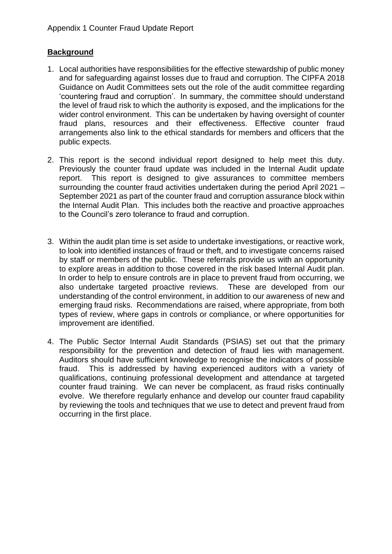# **Background**

- 1. Local authorities have responsibilities for the effective stewardship of public money and for safeguarding against losses due to fraud and corruption. The CIPFA 2018 Guidance on Audit Committees sets out the role of the audit committee regarding 'countering fraud and corruption'. In summary, the committee should understand the level of fraud risk to which the authority is exposed, and the implications for the wider control environment. This can be undertaken by having oversight of counter fraud plans, resources and their effectiveness. Effective counter fraud arrangements also link to the ethical standards for members and officers that the public expects.
- 2. This report is the second individual report designed to help meet this duty. Previously the counter fraud update was included in the Internal Audit update report. This report is designed to give assurances to committee members surrounding the counter fraud activities undertaken during the period April 2021 – September 2021 as part of the counter fraud and corruption assurance block within the Internal Audit Plan. This includes both the reactive and proactive approaches to the Council's zero tolerance to fraud and corruption.
- 3. Within the audit plan time is set aside to undertake investigations, or reactive work, to look into identified instances of fraud or theft, and to investigate concerns raised by staff or members of the public. These referrals provide us with an opportunity to explore areas in addition to those covered in the risk based Internal Audit plan. In order to help to ensure controls are in place to prevent fraud from occurring, we also undertake targeted proactive reviews. These are developed from our understanding of the control environment, in addition to our awareness of new and emerging fraud risks. Recommendations are raised, where appropriate, from both types of review, where gaps in controls or compliance, or where opportunities for improvement are identified.
- 4. The Public Sector Internal Audit Standards (PSIAS) set out that the primary responsibility for the prevention and detection of fraud lies with management. Auditors should have sufficient knowledge to recognise the indicators of possible fraud. This is addressed by having experienced auditors with a variety of qualifications, continuing professional development and attendance at targeted counter fraud training. We can never be complacent, as fraud risks continually evolve. We therefore regularly enhance and develop our counter fraud capability by reviewing the tools and techniques that we use to detect and prevent fraud from occurring in the first place.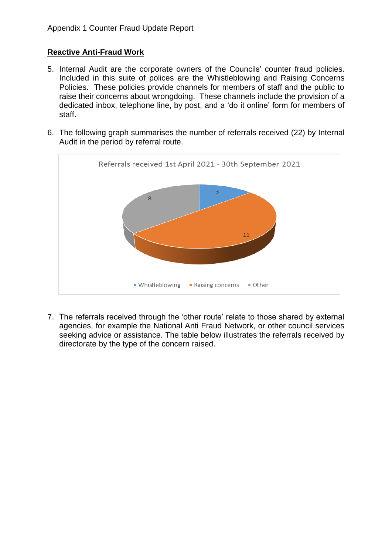## **Reactive Anti-Fraud Work**

- 5. Internal Audit are the corporate owners of the Councils' counter fraud policies. Included in this suite of polices are the Whistleblowing and Raising Concerns Policies. These policies provide channels for members of staff and the public to raise their concerns about wrongdoing. These channels include the provision of a dedicated inbox, telephone line, by post, and a 'do it online' form for members of staff.
- 6. The following graph summarises the number of referrals received (22) by Internal Audit in the period by referral route.



7. The referrals received through the 'other route' relate to those shared by external agencies, for example the National Anti Fraud Network, or other council services seeking advice or assistance. The table below illustrates the referrals received by directorate by the type of the concern raised.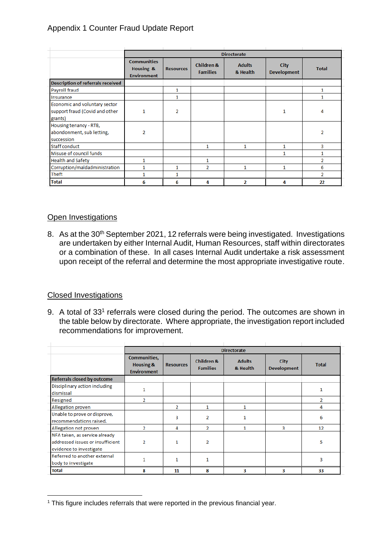## Appendix 1 Counter Fraud Update Report

|                                                                            | <b>Directorate</b>                                    |                  |                               |                           |                                   |                |  |  |  |
|----------------------------------------------------------------------------|-------------------------------------------------------|------------------|-------------------------------|---------------------------|-----------------------------------|----------------|--|--|--|
|                                                                            | <b>Communities</b><br>Housing &<br><b>Environment</b> | <b>Resources</b> | Children &<br><b>Families</b> | <b>Adults</b><br>& Health | <b>City</b><br><b>Development</b> | <b>Total</b>   |  |  |  |
| <b>Description of referrals received</b>                                   |                                                       |                  |                               |                           |                                   |                |  |  |  |
| Payroll fraud                                                              |                                                       | 1                |                               |                           |                                   | 1              |  |  |  |
| Insurance                                                                  |                                                       | 1                |                               |                           |                                   | 1              |  |  |  |
| Economic and voluntary sector<br>support fraud (Covid and other<br>grants) | 1                                                     | $\overline{2}$   |                               |                           | 1                                 | 4              |  |  |  |
| Housing tenancy - RTB,<br>abondonment, sub letting,<br>succession          | $\overline{2}$                                        |                  |                               |                           |                                   | 2              |  |  |  |
| <b>Staff conduct</b>                                                       |                                                       |                  | 1                             | 1                         | 1                                 | 3              |  |  |  |
| Misuse of council funds                                                    |                                                       |                  |                               |                           | 1                                 | 1              |  |  |  |
| <b>Health and Safety</b>                                                   | 1                                                     |                  | $\mathbf{1}$                  |                           |                                   | 2              |  |  |  |
| Corruption/maldadministration                                              | 1                                                     | 1                | $\overline{2}$                | 1                         | 1                                 | 6              |  |  |  |
| <b>Theft</b>                                                               | 1                                                     | 1                |                               |                           |                                   | $\overline{2}$ |  |  |  |
| <b>Total</b>                                                               | 6                                                     | 6                | 4                             | 2                         | 4                                 | 22             |  |  |  |

## Open Investigations

8. As at the 30<sup>th</sup> September 2021, 12 referrals were being investigated. Investigations are undertaken by either Internal Audit, Human Resources, staff within directorates or a combination of these. In all cases Internal Audit undertake a risk assessment upon receipt of the referral and determine the most appropriate investigative route.

### Closed Investigations

9. A total of 33<sup>1</sup> referrals were closed during the period. The outcomes are shown in the table below by directorate. Where appropriate, the investigation report included recommendations for improvement.

|                                                                                              | <b>Directorate</b>                                     |                  |                                          |                           |                                   |              |  |  |  |
|----------------------------------------------------------------------------------------------|--------------------------------------------------------|------------------|------------------------------------------|---------------------------|-----------------------------------|--------------|--|--|--|
|                                                                                              | <b>Communities,</b><br>Housing &<br><b>Environment</b> | <b>Resources</b> | <b>Children &amp;</b><br><b>Families</b> | <b>Adults</b><br>& Health | <b>City</b><br><b>Development</b> | <b>Total</b> |  |  |  |
| <b>Referrals closed by outcome</b>                                                           |                                                        |                  |                                          |                           |                                   |              |  |  |  |
| Disciplinary action including<br>dismissal                                                   | 1                                                      |                  |                                          |                           |                                   |              |  |  |  |
| Resigned                                                                                     | $\overline{2}$                                         |                  |                                          |                           |                                   | 2            |  |  |  |
| Allegation proven                                                                            |                                                        | $\overline{2}$   | 1                                        | 1                         |                                   | 4            |  |  |  |
| Unable to prove or disprove,<br>recommendations raised.                                      |                                                        | 3                | 2                                        | 1                         |                                   | 6            |  |  |  |
| Allegation not proven                                                                        | $\overline{2}$                                         | 4                | 2                                        | 1                         | 3                                 | 12           |  |  |  |
| NFA taken, as service already<br>addressed issues or insufficient<br>evidence to investigate | $\overline{2}$                                         | 1                | 2                                        |                           |                                   | 5            |  |  |  |
| Referred to another external<br>body to investigate                                          | 1                                                      | 1                | 1                                        |                           |                                   | 3            |  |  |  |
| Total                                                                                        | 8                                                      | 11               | 8                                        | 3                         | 3                                 | 33           |  |  |  |

<sup>&</sup>lt;sup>1</sup> This figure includes referrals that were reported in the previous financial year.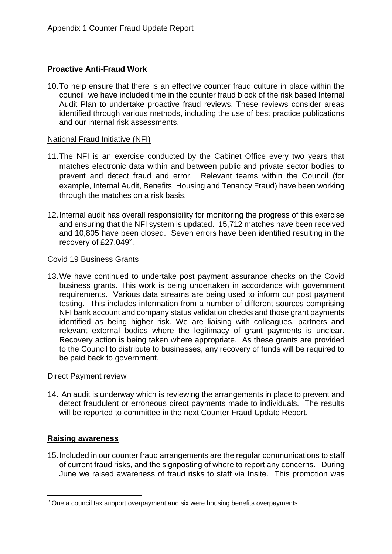## **Proactive Anti-Fraud Work**

10.To help ensure that there is an effective counter fraud culture in place within the council, we have included time in the counter fraud block of the risk based Internal Audit Plan to undertake proactive fraud reviews. These reviews consider areas identified through various methods, including the use of best practice publications and our internal risk assessments.

#### National Fraud Initiative (NFI)

- 11.The NFI is an exercise conducted by the Cabinet Office every two years that matches electronic data within and between public and private sector bodies to prevent and detect fraud and error. Relevant teams within the Council (for example, Internal Audit, Benefits, Housing and Tenancy Fraud) have been working through the matches on a risk basis.
- 12.Internal audit has overall responsibility for monitoring the progress of this exercise and ensuring that the NFI system is updated. 15,712 matches have been received and 10,805 have been closed. Seven errors have been identified resulting in the recovery of £27,049<sup>2</sup>.

### Covid 19 Business Grants

13.We have continued to undertake post payment assurance checks on the Covid business grants. This work is being undertaken in accordance with government requirements. Various data streams are being used to inform our post payment testing. This includes information from a number of different sources comprising NFI bank account and company status validation checks and those grant payments identified as being higher risk. We are liaising with colleagues, partners and relevant external bodies where the legitimacy of grant payments is unclear. Recovery action is being taken where appropriate. As these grants are provided to the Council to distribute to businesses, any recovery of funds will be required to be paid back to government.

### Direct Payment review

14. An audit is underway which is reviewing the arrangements in place to prevent and detect fraudulent or erroneous direct payments made to individuals. The results will be reported to committee in the next Counter Fraud Update Report.

### **Raising awareness**

15.Included in our counter fraud arrangements are the regular communications to staff of current fraud risks, and the signposting of where to report any concerns. During June we raised awareness of fraud risks to staff via Insite. This promotion was

<sup>&</sup>lt;sup>2</sup> One a council tax support overpayment and six were housing benefits overpayments.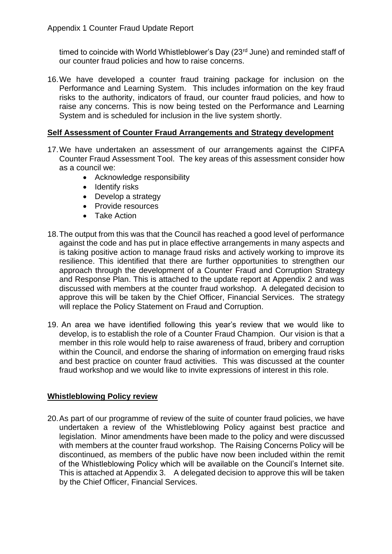timed to coincide with World Whistleblower's Day (23<sup>rd</sup> June) and reminded staff of our counter fraud policies and how to raise concerns.

16.We have developed a counter fraud training package for inclusion on the Performance and Learning System. This includes information on the key fraud risks to the authority, indicators of fraud, our counter fraud policies, and how to raise any concerns. This is now being tested on the Performance and Learning System and is scheduled for inclusion in the live system shortly.

## **Self Assessment of Counter Fraud Arrangements and Strategy development**

- 17.We have undertaken an assessment of our arrangements against the CIPFA Counter Fraud Assessment Tool. The key areas of this assessment consider how as a council we:
	- Acknowledge responsibility
	- Identify risks
	- Develop a strategy
	- Provide resources
	- Take Action
- 18.The output from this was that the Council has reached a good level of performance against the code and has put in place effective arrangements in many aspects and is taking positive action to manage fraud risks and actively working to improve its resilience. This identified that there are further opportunities to strengthen our approach through the development of a Counter Fraud and Corruption Strategy and Response Plan. This is attached to the update report at Appendix 2 and was discussed with members at the counter fraud workshop. A delegated decision to approve this will be taken by the Chief Officer, Financial Services. The strategy will replace the Policy Statement on Fraud and Corruption.
- 19. An area we have identified following this year's review that we would like to develop, is to establish the role of a Counter Fraud Champion. Our vision is that a member in this role would help to raise awareness of fraud, bribery and corruption within the Council, and endorse the sharing of information on emerging fraud risks and best practice on counter fraud activities. This was discussed at the counter fraud workshop and we would like to invite expressions of interest in this role.

### **Whistleblowing Policy review**

20.As part of our programme of review of the suite of counter fraud policies, we have undertaken a review of the Whistleblowing Policy against best practice and legislation. Minor amendments have been made to the policy and were discussed with members at the counter fraud workshop. The Raising Concerns Policy will be discontinued, as members of the public have now been included within the remit of the Whistleblowing Policy which will be available on the Council's Internet site. This is attached at Appendix 3. A delegated decision to approve this will be taken by the Chief Officer, Financial Services.